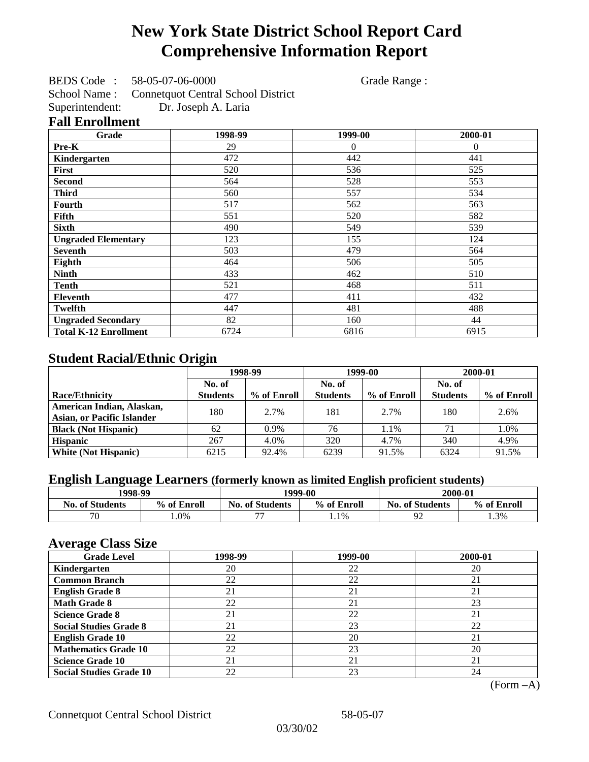# **New York State District School Report Card Comprehensive Information Report**

BEDS Code : 58-05-07-06-0000 Grade Range :

School Name : Connetquot Central School District<br>Superintendent: Dr. Joseph A. Laria Dr. Joseph A. Laria

### **Fall Enrollment**

| Grade                        | 1998-99 | 1999-00  | 2000-01  |
|------------------------------|---------|----------|----------|
| Pre-K                        | 29      | $\Omega$ | $\Omega$ |
| Kindergarten                 | 472     | 442      | 441      |
| First                        | 520     | 536      | 525      |
| <b>Second</b>                | 564     | 528      | 553      |
| <b>Third</b>                 | 560     | 557      | 534      |
| Fourth                       | 517     | 562      | 563      |
| Fifth                        | 551     | 520      | 582      |
| <b>Sixth</b>                 | 490     | 549      | 539      |
| <b>Ungraded Elementary</b>   | 123     | 155      | 124      |
| <b>Seventh</b>               | 503     | 479      | 564      |
| Eighth                       | 464     | 506      | 505      |
| <b>Ninth</b>                 | 433     | 462      | 510      |
| Tenth                        | 521     | 468      | 511      |
| <b>Eleventh</b>              | 477     | 411      | 432      |
| <b>Twelfth</b>               | 447     | 481      | 488      |
| <b>Ungraded Secondary</b>    | 82      | 160      | 44       |
| <b>Total K-12 Enrollment</b> | 6724    | 6816     | 6915     |

## **Student Racial/Ethnic Origin**

|                                   | 1998-99         |             |                 | 1999-00     |                 | 2000-01     |
|-----------------------------------|-----------------|-------------|-----------------|-------------|-----------------|-------------|
|                                   | No. of          |             | No. of          |             | No. of          |             |
| <b>Race/Ethnicity</b>             | <b>Students</b> | % of Enroll | <b>Students</b> | % of Enroll | <b>Students</b> | % of Enroll |
| American Indian, Alaskan,         | 180.            | 2.7%        | 181             | 2.7%        | 180             | 2.6%        |
| <b>Asian, or Pacific Islander</b> |                 |             |                 |             |                 |             |
| <b>Black (Not Hispanic)</b>       | 62              | $0.9\%$     | 76              | 1.1%        | 71              | 1.0%        |
| <b>Hispanic</b>                   | 267             | 4.0%        | 320             | 4.7%        | 340             | 4.9%        |
| <b>White (Not Hispanic)</b>       | 6215            | 92.4%       | 6239            | 91.5%       | 6324            | 91.5%       |

## **English Language Learners (formerly known as limited English proficient students)**

| 1998-99                |             |                          | 1999-00     | 2000-01                |             |  |
|------------------------|-------------|--------------------------|-------------|------------------------|-------------|--|
| <b>No. of Students</b> | % of Enroll | <b>No. of Students</b>   | % of Enroll | <b>No. of Students</b> | % of Enroll |  |
| 70                     | $0\%$       | $\overline{\phantom{a}}$ | 1.1%        | ۵C                     | 1.3%        |  |

### **Average Class Size**

| <u>ືຕ</u><br><b>Grade Level</b> | 1998-99 | 1999-00 | 2000-01 |
|---------------------------------|---------|---------|---------|
| Kindergarten                    | 20      | 22      | 20      |
| <b>Common Branch</b>            | 22      | 22      | 21      |
| <b>English Grade 8</b>          | 21      | 21      | 21      |
| <b>Math Grade 8</b>             | 22      | 21      | 23      |
| <b>Science Grade 8</b>          | 21      | 22      | 21      |
| <b>Social Studies Grade 8</b>   | 21      | 23      | 22      |
| <b>English Grade 10</b>         | 22      | 20      | 21      |
| <b>Mathematics Grade 10</b>     | 22      | 23      | 20      |
| <b>Science Grade 10</b>         | 21      | 21      | 21      |
| <b>Social Studies Grade 10</b>  | 22      | 23      | 24      |

(Form –A)

Connetquot Central School District 58-05-07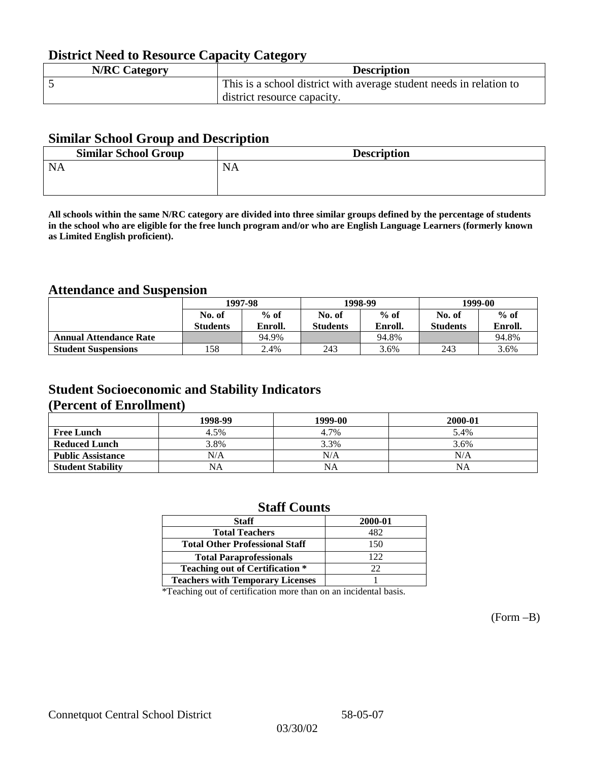## **District Need to Resource Capacity Category**

| <b>N/RC Category</b> | <b>Description</b>                                                  |
|----------------------|---------------------------------------------------------------------|
|                      | This is a school district with average student needs in relation to |
|                      | district resource capacity.                                         |

### **Similar School Group and Description**

| <b>Similar School Group</b> | <b>Description</b> |
|-----------------------------|--------------------|
| <b>NA</b>                   | <b>NA</b>          |
|                             |                    |

**All schools within the same N/RC category are divided into three similar groups defined by the percentage of students in the school who are eligible for the free lunch program and/or who are English Language Learners (formerly known as Limited English proficient).**

## **Attendance and Suspension**

|                               | 1997-98          |         |                 | 1998-99 | 1999-00         |         |
|-------------------------------|------------------|---------|-----------------|---------|-----------------|---------|
|                               | $%$ of<br>No. of |         | No. of          | $%$ of  | No. of          | $%$ of  |
|                               | <b>Students</b>  | Enroll. | <b>Students</b> | Enroll. | <b>Students</b> | Enroll. |
| <b>Annual Attendance Rate</b> |                  | 94.9%   |                 | 94.8%   |                 | 94.8%   |
| <b>Student Suspensions</b>    | .58              | 2.4%    | 243             | 3.6%    | 243             | 3.6%    |

## **Student Socioeconomic and Stability Indicators (Percent of Enrollment)**

|                          | 1998-99   | 1999-00   | 2000-01 |
|--------------------------|-----------|-----------|---------|
| <b>Free Lunch</b>        | 4.5%      | 4.7%      | 5.4%    |
| <b>Reduced Lunch</b>     | 3.8%      | 3.3%      | 3.6%    |
| <b>Public Assistance</b> | N/A       | N/A       | N/A     |
| <b>Student Stability</b> | <b>NA</b> | <b>NA</b> | ΝA      |

### **Staff Counts**

| <b>Staff</b>                            | 2000-01 |
|-----------------------------------------|---------|
| <b>Total Teachers</b>                   | 482     |
| <b>Total Other Professional Staff</b>   | 150     |
| <b>Total Paraprofessionals</b>          | 122.    |
| <b>Teaching out of Certification *</b>  | 22      |
| <b>Teachers with Temporary Licenses</b> |         |

\*Teaching out of certification more than on an incidental basis.

(Form –B)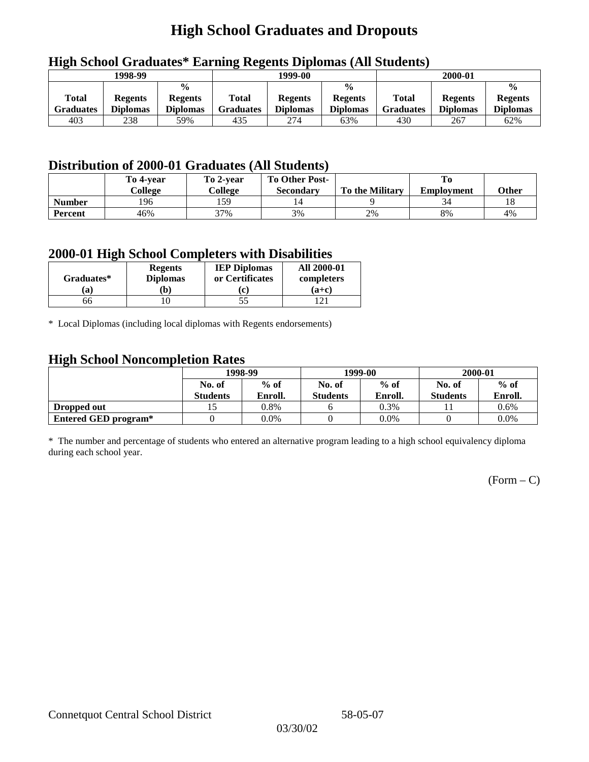# **High School Graduates and Dropouts**

| $\overline{\phantom{a}}$<br>1998-99 |                                   |                                                    |                           | 1999-00                           | 2000-01                                            |                           |                                   |                                                    |
|-------------------------------------|-----------------------------------|----------------------------------------------------|---------------------------|-----------------------------------|----------------------------------------------------|---------------------------|-----------------------------------|----------------------------------------------------|
| Total<br><b>Graduates</b>           | <b>Regents</b><br><b>Diplomas</b> | $\frac{0}{0}$<br><b>Regents</b><br><b>Diplomas</b> | <b>Total</b><br>Graduates | <b>Regents</b><br><b>Diplomas</b> | $\frac{0}{0}$<br><b>Regents</b><br><b>Diplomas</b> | Total<br><b>Graduates</b> | <b>Regents</b><br><b>Diplomas</b> | $\frac{0}{0}$<br><b>Regents</b><br><b>Diplomas</b> |
| 403                                 | 238                               | 59%                                                | 435                       | 274                               | 63%                                                | 430                       | 267                               | 62%                                                |

## **High School Graduates\* Earning Regents Diplomas (All Students)**

## **Distribution of 2000-01 Graduates (All Students)**

|               | To 4-year | To 2-year | <b>To Other Post-</b> |                        |                   |       |
|---------------|-----------|-----------|-----------------------|------------------------|-------------------|-------|
|               | College   | College   | Secondary             | <b>To the Military</b> | <b>Employment</b> | Other |
| <b>Number</b> | 196       | 159       | 14                    |                        |                   |       |
| Percent       | 46%       | 37%       | 3%                    | 2%                     | 8%                | 4%    |

### **2000-01 High School Completers with Disabilities**

|            | <b>Regents</b>  | <b>IEP Diplomas</b> | <b>All 2000-01</b> |  |
|------------|-----------------|---------------------|--------------------|--|
| Graduates* | <b>Diplomas</b> | or Certificates     | completers         |  |
| a)         | b)              | c                   | $(a+c)$            |  |
| эb         |                 | 55                  |                    |  |

\* Local Diplomas (including local diplomas with Regents endorsements)

## **High School Noncompletion Rates**

| ັ                    | 1998-99         |         |                 | 1999-00 | 2000-01         |         |  |
|----------------------|-----------------|---------|-----------------|---------|-----------------|---------|--|
|                      | No. of          | $%$ of  | No. of          | $%$ of  | No. of          | $%$ of  |  |
|                      | <b>Students</b> | Enroll. | <b>Students</b> | Enroll. | <b>Students</b> | Enroll. |  |
| Dropped out          |                 | 0.8%    |                 | 0.3%    |                 | $0.6\%$ |  |
| Entered GED program* |                 | $0.0\%$ |                 | $0.0\%$ |                 | $0.0\%$ |  |

\* The number and percentage of students who entered an alternative program leading to a high school equivalency diploma during each school year.

 $(Form - C)$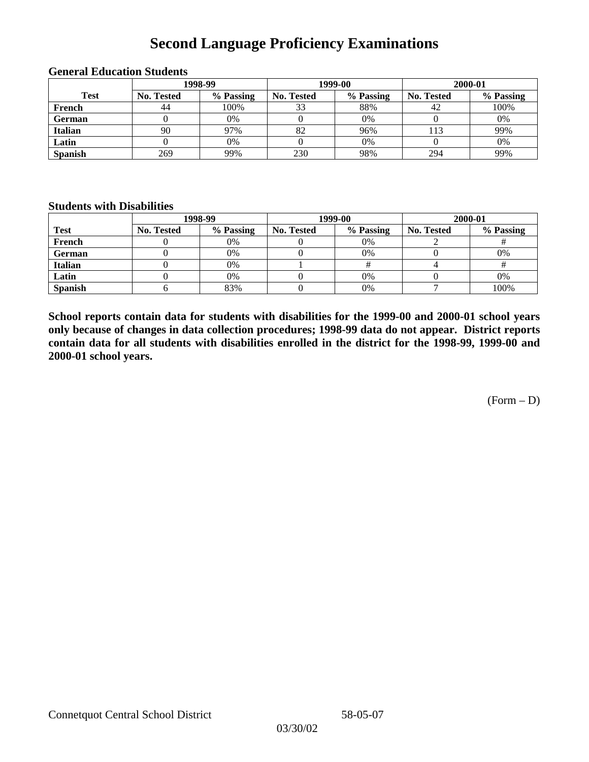# **Second Language Proficiency Examinations**

|                |            | 1998-99   |                   | 1999-00   | 2000-01           |           |  |
|----------------|------------|-----------|-------------------|-----------|-------------------|-----------|--|
| <b>Test</b>    | No. Tested | % Passing | <b>No. Tested</b> | % Passing | <b>No. Tested</b> | % Passing |  |
| French         | 44         | 100%      | 33                | 88%       | 42                | 100%      |  |
| <b>German</b>  |            | 0%        |                   | 0%        |                   | 0%        |  |
| <b>Italian</b> | 90         | 97%       | 82                | 96%       | 113               | 99%       |  |
| Latin          |            | 0%        |                   | 0%        |                   | 0%        |  |
| <b>Spanish</b> | 269        | 99%       | 230               | 98%       | 294               | 99%       |  |

### **General Education Students**

#### **Students with Disabilities**

|                | 1998-99    |           |                   | 1999-00   | 2000-01           |           |  |
|----------------|------------|-----------|-------------------|-----------|-------------------|-----------|--|
| <b>Test</b>    | No. Tested | % Passing | <b>No. Tested</b> | % Passing | <b>No. Tested</b> | % Passing |  |
| French         |            | 0%        |                   | 0%        |                   |           |  |
| German         |            | 0%        |                   | 0%        |                   | 0%        |  |
| Italian        |            | 0%        |                   |           |                   |           |  |
| Latin          |            | 0%        |                   | 0%        |                   | 0%        |  |
| <b>Spanish</b> |            | 83%       |                   | 0%        |                   | 100%      |  |

**School reports contain data for students with disabilities for the 1999-00 and 2000-01 school years only because of changes in data collection procedures; 1998-99 data do not appear. District reports contain data for all students with disabilities enrolled in the district for the 1998-99, 1999-00 and 2000-01 school years.**

 $(Form - D)$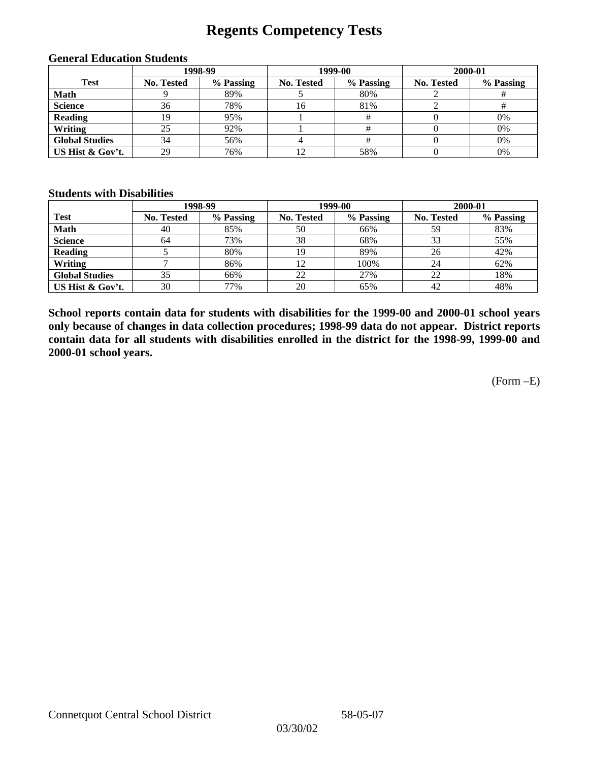# **Regents Competency Tests**

|                       |            | 1998-99   | 1999-00           |           | 2000-01           |           |  |
|-----------------------|------------|-----------|-------------------|-----------|-------------------|-----------|--|
| <b>Test</b>           | No. Tested | % Passing | <b>No. Tested</b> | % Passing | <b>No. Tested</b> | % Passing |  |
| <b>Math</b>           |            | 89%       |                   | 80%       |                   |           |  |
| <b>Science</b>        | 36         | 78%       | 16                | 81%       |                   |           |  |
| <b>Reading</b>        | 19         | 95%       |                   |           |                   | 0%        |  |
| Writing               |            | 92%       |                   |           |                   | 0%        |  |
| <b>Global Studies</b> | 34         | 56%       |                   |           |                   | 0%        |  |
| US Hist & Gov't.      | 29         | 76%       | 12                | 58%       |                   | 0%        |  |

#### **General Education Students**

#### **Students with Disabilities**

|                       |                   | 1998-99   | 1999-00           |           | 2000-01           |           |
|-----------------------|-------------------|-----------|-------------------|-----------|-------------------|-----------|
| <b>Test</b>           | <b>No. Tested</b> | % Passing | <b>No. Tested</b> | % Passing | <b>No. Tested</b> | % Passing |
| <b>Math</b>           | 40                | 85%       | 50                | 66%       | 59                | 83%       |
| <b>Science</b>        | 64                | 73%       | 38                | 68%       | 33                | 55%       |
| <b>Reading</b>        |                   | 80%       | 19                | 89%       | 26                | 42%       |
| Writing               |                   | 86%       |                   | 100%      | 24                | 62%       |
| <b>Global Studies</b> | 35                | 66%       | 22                | 27%       | 22                | 18%       |
| US Hist & Gov't.      | 30                | 77%       | 20                | 65%       | 42                | 48%       |

**School reports contain data for students with disabilities for the 1999-00 and 2000-01 school years only because of changes in data collection procedures; 1998-99 data do not appear. District reports contain data for all students with disabilities enrolled in the district for the 1998-99, 1999-00 and 2000-01 school years.**

(Form –E)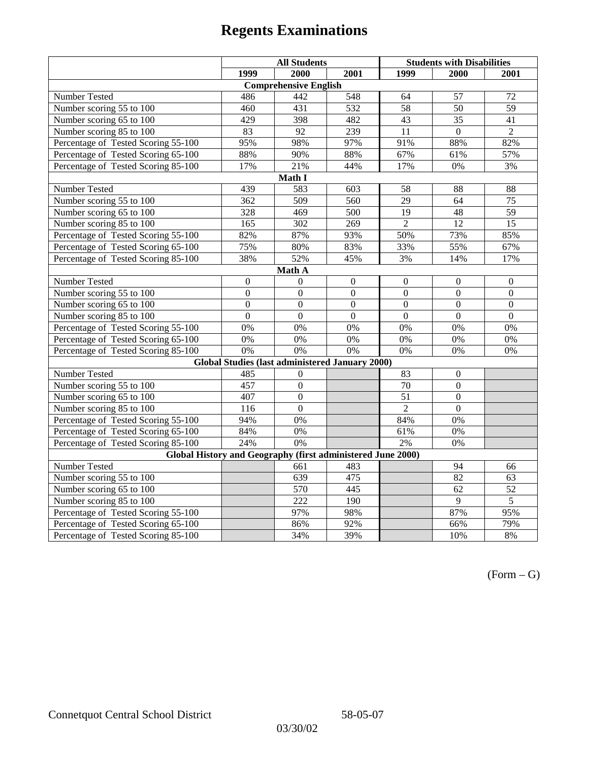|                                                             | <b>All Students</b> |                                                        |                | <b>Students with Disabilities</b> |                  |                  |  |  |
|-------------------------------------------------------------|---------------------|--------------------------------------------------------|----------------|-----------------------------------|------------------|------------------|--|--|
|                                                             | 1999                | 2000                                                   | 2001           | 1999                              | 2000             | 2001             |  |  |
|                                                             |                     | <b>Comprehensive English</b>                           |                |                                   |                  |                  |  |  |
| Number Tested                                               | 486                 | 442                                                    | 548            | 64                                | 57               | 72               |  |  |
| Number scoring 55 to 100                                    | 460                 | 431                                                    | 532            | $\overline{58}$                   | 50               | $\overline{59}$  |  |  |
| Number scoring 65 to 100                                    | 429                 | 398                                                    | 482            | 43                                | 35               | 41               |  |  |
| Number scoring 85 to 100                                    | 83                  | 92                                                     | 239            | 11                                | $\overline{0}$   | $\overline{2}$   |  |  |
| Percentage of Tested Scoring 55-100                         | 95%                 | 98%                                                    | 97%            | 91%                               | 88%              | 82%              |  |  |
| Percentage of Tested Scoring 65-100                         | 88%                 | 90%                                                    | 88%            | 67%                               | 61%              | 57%              |  |  |
| Percentage of Tested Scoring 85-100                         | 17%                 | 21%                                                    | 44%            | 17%                               | 0%               | 3%               |  |  |
|                                                             |                     | Math I                                                 |                |                                   |                  |                  |  |  |
| Number Tested                                               | 439                 | 583                                                    | 603            | 58                                | 88               | 88               |  |  |
| Number scoring 55 to 100                                    | 362                 | 509                                                    | 560            | 29                                | 64               | 75               |  |  |
| Number scoring 65 to 100                                    | 328                 | 469                                                    | 500            | 19                                | 48               | 59               |  |  |
| Number scoring 85 to 100                                    | 165                 | $\overline{302}$                                       | 269            | $\overline{2}$                    | 12               | 15               |  |  |
| Percentage of Tested Scoring 55-100                         | 82%                 | 87%                                                    | 93%            | 50%                               | 73%              | 85%              |  |  |
| Percentage of Tested Scoring 65-100                         | 75%                 | 80%                                                    | 83%            | 33%                               | 55%              | 67%              |  |  |
| Percentage of Tested Scoring 85-100                         | 38%                 | 52%                                                    | 45%            | 3%                                | 14%              | 17%              |  |  |
| Math A                                                      |                     |                                                        |                |                                   |                  |                  |  |  |
| Number Tested                                               | $\boldsymbol{0}$    | $\mathbf{0}$                                           | $\mathbf{0}$   | $\overline{0}$                    | $\mathbf{0}$     | $\boldsymbol{0}$ |  |  |
| Number scoring 55 to 100                                    | $\overline{0}$      | $\overline{0}$                                         | $\overline{0}$ | $\overline{0}$                    | $\overline{0}$   | $\overline{0}$   |  |  |
| Number scoring 65 to 100                                    | $\mathbf{0}$        | $\mathbf{0}$                                           | $\overline{0}$ | $\boldsymbol{0}$                  | $\boldsymbol{0}$ | $\boldsymbol{0}$ |  |  |
| Number scoring 85 to 100                                    | $\overline{0}$      | $\overline{0}$                                         | $\mathbf{0}$   | $\mathbf{0}$                      | $\mathbf{0}$     | $\boldsymbol{0}$ |  |  |
| Percentage of Tested Scoring 55-100                         | 0%                  | 0%                                                     | 0%             | 0%                                | 0%               | 0%               |  |  |
| Percentage of Tested Scoring 65-100                         | 0%                  | 0%                                                     | 0%             | 0%                                | 0%               | 0%               |  |  |
| Percentage of Tested Scoring 85-100                         | 0%                  | 0%                                                     | 0%             | 0%                                | 0%               | $0\%$            |  |  |
|                                                             |                     | <b>Global Studies (last administered January 2000)</b> |                |                                   |                  |                  |  |  |
| <b>Number Tested</b>                                        | 485                 | $\mathbf{0}$                                           |                | 83                                | $\mathbf{0}$     |                  |  |  |
| Number scoring 55 to 100                                    | 457                 | $\overline{0}$                                         |                | 70                                | $\mathbf{0}$     |                  |  |  |
| Number scoring 65 to 100                                    | 407                 | $\mathbf{0}$                                           |                | 51                                | $\mathbf{0}$     |                  |  |  |
| Number scoring 85 to 100                                    | 116                 | $\Omega$                                               |                | $\overline{2}$                    | $\Omega$         |                  |  |  |
| Percentage of Tested Scoring 55-100                         | 94%                 | 0%                                                     |                | 84%                               | $0\%$            |                  |  |  |
| Percentage of Tested Scoring 65-100                         | 84%                 | 0%                                                     |                | 61%                               | 0%               |                  |  |  |
| Percentage of Tested Scoring 85-100                         | 24%                 | $\overline{0\%}$                                       |                | 2%                                | 0%               |                  |  |  |
| Global History and Geography (first administered June 2000) |                     |                                                        |                |                                   |                  |                  |  |  |
| Number Tested                                               |                     | 661                                                    | 483            |                                   | 94               | 66               |  |  |
| Number scoring 55 to 100                                    |                     | 639                                                    | 475            |                                   | $\overline{82}$  | 63               |  |  |
| Number scoring 65 to 100                                    |                     | 570                                                    | 445            |                                   | 62               | $\overline{52}$  |  |  |
| Number scoring 85 to 100                                    |                     | 222                                                    | 190            |                                   | 9                | $\overline{5}$   |  |  |
| Percentage of Tested Scoring 55-100                         |                     | 97%                                                    | 98%            |                                   | 87%              | 95%              |  |  |
| Percentage of Tested Scoring 65-100                         |                     | 86%                                                    | 92%            |                                   | 66%              | 79%              |  |  |
| Percentage of Tested Scoring 85-100                         |                     | 34%                                                    | 39%            |                                   | 10%              | 8%               |  |  |

 $(Form - G)$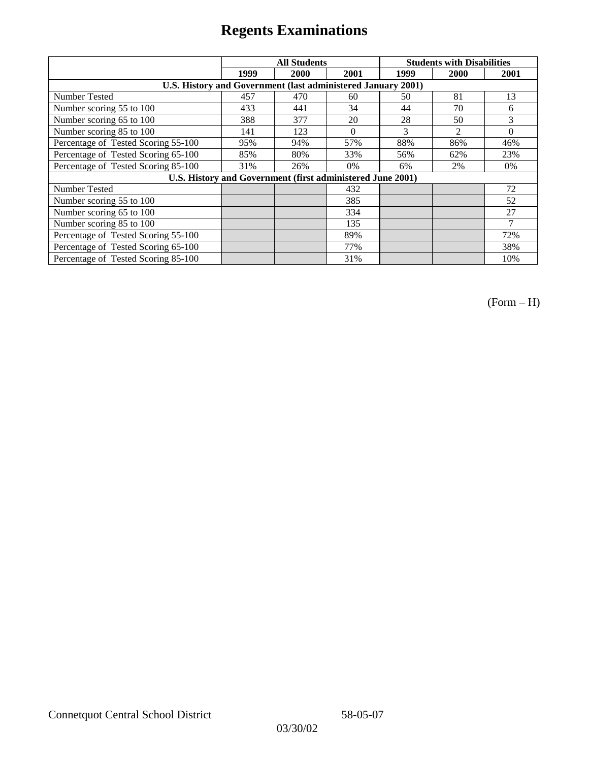|                                                              |      | <b>All Students</b> |          | <b>Students with Disabilities</b> |                |          |  |
|--------------------------------------------------------------|------|---------------------|----------|-----------------------------------|----------------|----------|--|
|                                                              | 1999 | 2000                | 2001     | 1999                              | 2000           | 2001     |  |
| U.S. History and Government (last administered January 2001) |      |                     |          |                                   |                |          |  |
| Number Tested                                                | 457  | 470                 | 60       | 50                                | 81             | 13       |  |
| Number scoring 55 to 100                                     | 433  | 441                 | 34       | 44                                | 70             | 6        |  |
| Number scoring 65 to 100                                     | 388  | 377                 | 20       | 28                                | 50             | 3        |  |
| Number scoring 85 to 100                                     | 141  | 123                 | $\Omega$ | 3                                 | $\mathfrak{D}$ | $\Omega$ |  |
| Percentage of Tested Scoring 55-100                          | 95%  | 94%                 | 57%      | 88%                               | 86%            | 46%      |  |
| Percentage of Tested Scoring 65-100                          | 85%  | 80%                 | 33%      | 56%                               | 62%            | 23%      |  |
| Percentage of Tested Scoring 85-100                          | 31%  | 26%                 | $0\%$    | 6%                                | 2%             | $0\%$    |  |
| U.S. History and Government (first administered June 2001)   |      |                     |          |                                   |                |          |  |
| <b>Number Tested</b>                                         |      |                     | 432      |                                   |                | 72       |  |
| Number scoring 55 to 100                                     |      |                     | 385      |                                   |                | 52       |  |
| Number scoring 65 to 100                                     |      |                     | 334      |                                   |                | 27       |  |
| Number scoring 85 to 100                                     |      |                     | 135      |                                   |                | 7        |  |
| Percentage of Tested Scoring 55-100                          |      |                     | 89%      |                                   |                | 72%      |  |
| Percentage of Tested Scoring 65-100                          |      |                     | 77%      |                                   |                | 38%      |  |
| Percentage of Tested Scoring 85-100                          |      |                     | 31%      |                                   |                | 10%      |  |

(Form – H)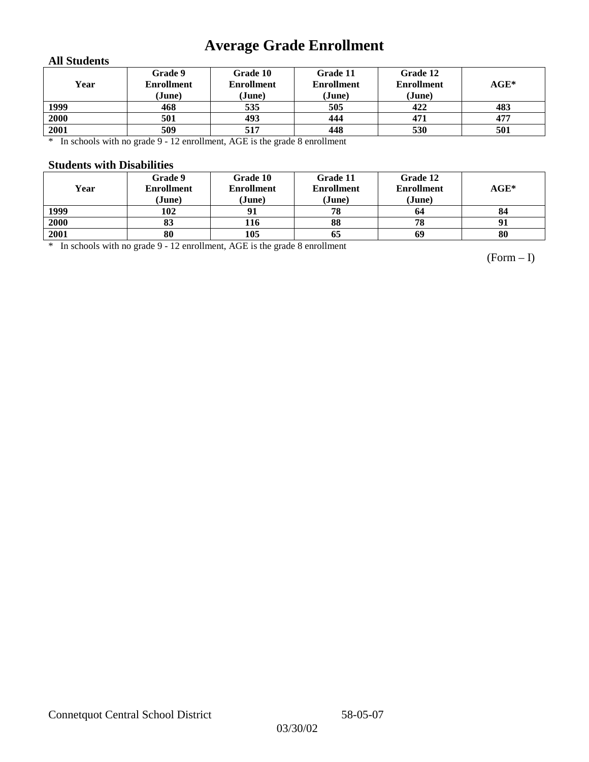# **Average Grade Enrollment**

### **All Students**

| Year | Grade 9<br><b>Enrollment</b><br>(June) | Grade 10<br><b>Enrollment</b><br>(June) | Grade 11<br><b>Enrollment</b><br>(June) | Grade 12<br><b>Enrollment</b><br>(June) | $AGE^*$ |
|------|----------------------------------------|-----------------------------------------|-----------------------------------------|-----------------------------------------|---------|
| 1999 | 468                                    | 535                                     | 505                                     | 422                                     | 483     |
| 2000 | 501                                    | 493                                     | 444                                     | 471                                     | 477     |
| 2001 | 509                                    | 517                                     | 448                                     | 530                                     | 501     |

\* In schools with no grade 9 - 12 enrollment, AGE is the grade 8 enrollment

#### **Students with Disabilities**

| Year | Grade 9<br><b>Enrollment</b><br>(June) | Grade 10<br><b>Enrollment</b><br>(June) | Grade 11<br><b>Enrollment</b><br>(June) | Grade 12<br><b>Enrollment</b><br>(June) | $AGE^*$ |
|------|----------------------------------------|-----------------------------------------|-----------------------------------------|-----------------------------------------|---------|
| 1999 | 102                                    |                                         | 78                                      | 64                                      | 84      |
| 2000 | 83                                     | 116                                     | 88                                      | 78                                      | 91      |
| 2001 | 80                                     | 105                                     | 65                                      | 69                                      | 80      |

\* In schools with no grade 9 - 12 enrollment, AGE is the grade 8 enrollment

(Form – I)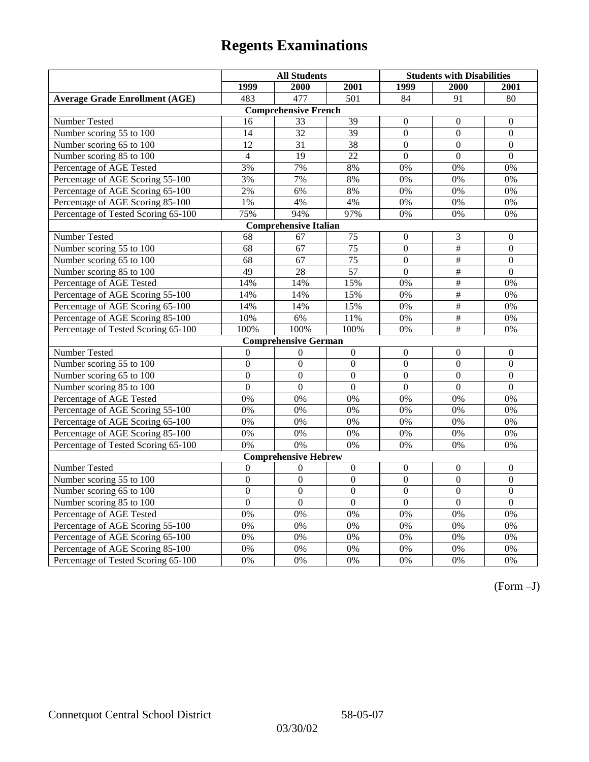|                                       | <b>All Students</b> |                              |                  | <b>Students with Disabilities</b> |                           |                  |
|---------------------------------------|---------------------|------------------------------|------------------|-----------------------------------|---------------------------|------------------|
|                                       | 1999                | 2000                         | 2001             | 1999                              | 2000                      | 2001             |
| <b>Average Grade Enrollment (AGE)</b> | 483                 | 477                          | $\overline{501}$ | 84                                | 91                        | 80               |
|                                       |                     | <b>Comprehensive French</b>  |                  |                                   |                           |                  |
| <b>Number Tested</b>                  | 16                  | 33                           | 39               | $\mathbf{0}$                      | $\theta$                  | $\mathbf{0}$     |
| Number scoring 55 to 100              | 14                  | $\overline{32}$              | $\overline{39}$  | $\overline{0}$                    | $\overline{0}$            | $\overline{0}$   |
| Number scoring 65 to 100              | 12                  | 31                           | 38               | $\mathbf{0}$                      | $\mathbf{0}$              | $\mathbf{0}$     |
| Number scoring 85 to 100              | $\overline{4}$      | 19                           | 22               | $\mathbf{0}$                      | $\mathbf{0}$              | $\mathbf{0}$     |
| Percentage of AGE Tested              | 3%                  | 7%                           | $8\%$            | $0\%$                             | 0%                        | 0%               |
| Percentage of AGE Scoring 55-100      | 3%                  | 7%                           | 8%               | 0%                                | 0%                        | 0%               |
| Percentage of AGE Scoring 65-100      | 2%                  | 6%                           | 8%               | 0%                                | 0%                        | 0%               |
| Percentage of AGE Scoring 85-100      | $1\%$               | 4%                           | 4%               | $0\%$                             | $0\%$                     | $0\%$            |
| Percentage of Tested Scoring 65-100   | 75%                 | 94%                          | 97%              | 0%                                | 0%                        | 0%               |
|                                       |                     | <b>Comprehensive Italian</b> |                  |                                   |                           |                  |
| Number Tested                         | 68                  | 67                           | 75               | $\Omega$                          | 3                         | $\boldsymbol{0}$ |
| Number scoring 55 to 100              | 68                  | 67                           | 75               | $\overline{0}$                    | $\overline{\overline{}}$  | $\boldsymbol{0}$ |
| Number scoring 65 to 100              | 68                  | 67                           | $\overline{75}$  | $\overline{0}$                    | $\overline{\overline{t}}$ | $\mathbf{0}$     |
| Number scoring 85 to 100              | $\overline{49}$     | 28                           | $\overline{57}$  | $\overline{0}$                    | $\overline{\overline{t}}$ | $\overline{0}$   |
| Percentage of AGE Tested              | 14%                 | 14%                          | 15%              | 0%                                | $\overline{\#}$           | 0%               |
| Percentage of AGE Scoring 55-100      | 14%                 | 14%                          | 15%              | 0%                                | #                         | 0%               |
| Percentage of AGE Scoring 65-100      | 14%                 | 14%                          | 15%              | 0%                                | $\overline{\#}$           | 0%               |
| Percentage of AGE Scoring 85-100      | 10%                 | 6%                           | 11%              | 0%                                | $\#$                      | 0%               |
| Percentage of Tested Scoring 65-100   | 100%                | 100%                         | 100%             | 0%                                | $\#$                      | 0%               |
|                                       |                     | <b>Comprehensive German</b>  |                  |                                   |                           |                  |
| Number Tested                         | $\overline{0}$      | $\mathbf{0}$                 | $\boldsymbol{0}$ | $\overline{0}$                    | $\mathbf{0}$              | $\boldsymbol{0}$ |
| Number scoring 55 to 100              | $\mathbf{0}$        | $\mathbf{0}$                 | $\overline{0}$   | $\overline{0}$                    | $\theta$                  | $\mathbf{0}$     |
| Number scoring 65 to 100              | $\overline{0}$      | $\overline{0}$               | $\overline{0}$   | $\overline{0}$                    | $\overline{0}$            | $\overline{0}$   |
| Number scoring 85 to 100              | $\overline{0}$      | $\overline{0}$               | $\overline{0}$   | $\overline{0}$                    | $\overline{0}$            | $\overline{0}$   |
| Percentage of AGE Tested              | 0%                  | 0%                           | 0%               | 0%                                | 0%                        | 0%               |
| Percentage of AGE Scoring 55-100      | 0%                  | 0%                           | 0%               | 0%                                | 0%                        | 0%               |
| Percentage of AGE Scoring 65-100      | 0%                  | 0%                           | 0%               | 0%                                | 0%                        | 0%               |
| Percentage of AGE Scoring 85-100      | 0%                  | 0%                           | 0%               | 0%                                | 0%                        | 0%               |
| Percentage of Tested Scoring 65-100   | 0%                  | 0%                           | $0\%$            | $0\%$                             | 0%                        | 0%               |
|                                       |                     | <b>Comprehensive Hebrew</b>  |                  |                                   |                           |                  |
| Number Tested                         | $\boldsymbol{0}$    | $\boldsymbol{0}$             | $\boldsymbol{0}$ | $\mathbf{0}$                      | $\mathbf{0}$              | $\boldsymbol{0}$ |
| Number scoring 55 to 100              | $\overline{0}$      | $\overline{0}$               | $\overline{0}$   | $\overline{0}$                    | $\overline{0}$            | $\overline{0}$   |
| Number scoring 65 to 100              | $\mathbf{0}$        | $\mathbf{0}$                 | $\Omega$         | $\mathbf{0}$                      | $\boldsymbol{0}$          | $\boldsymbol{0}$ |
| Number scoring 85 to 100              | $\overline{0}$      | $\overline{0}$               | $\overline{0}$   | $\overline{0}$                    | $\overline{0}$            | $\overline{0}$   |
| Percentage of AGE Tested              | $\overline{0\%}$    | 0%                           | 0%               | 0%                                | 0%                        | 0%               |
| Percentage of AGE Scoring 55-100      | 0%                  | 0%                           | 0%               | 0%                                | 0%                        | 0%               |
| Percentage of AGE Scoring 65-100      | 0%                  | 0%                           | 0%               | 0%                                | 0%                        | 0%               |
| Percentage of AGE Scoring 85-100      | 0%                  | 0%                           | 0%               | $0\%$                             | 0%                        | 0%               |
| Percentage of Tested Scoring 65-100   | 0%                  | 0%                           | 0%               | 0%                                | 0%                        | 0%               |

(Form –J)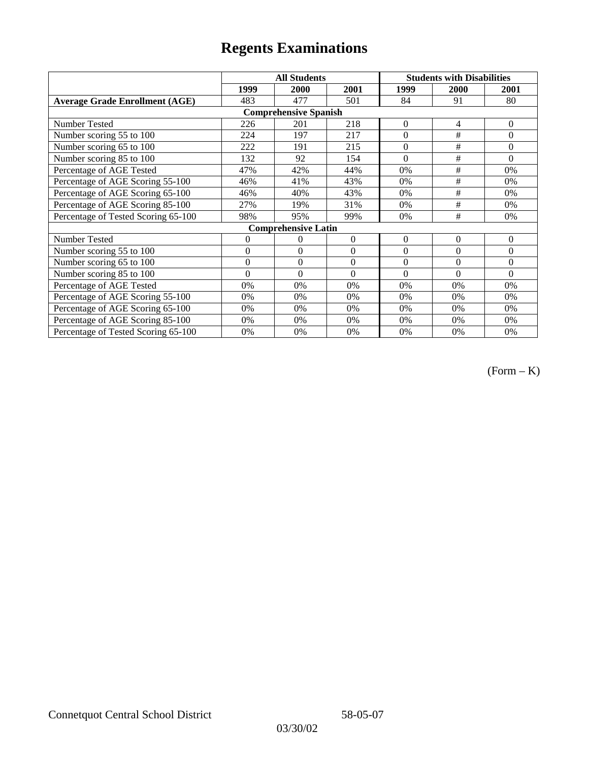|                                       |                | <b>All Students</b>        |                  | <b>Students with Disabilities</b> |                |              |  |  |
|---------------------------------------|----------------|----------------------------|------------------|-----------------------------------|----------------|--------------|--|--|
|                                       | 1999           | 2000                       | 2001             | 1999                              | 2000           | 2001         |  |  |
| <b>Average Grade Enrollment (AGE)</b> | 483            | 477                        | 501              | 84                                | 91             | 80           |  |  |
| <b>Comprehensive Spanish</b>          |                |                            |                  |                                   |                |              |  |  |
| Number Tested                         | 226            | 201                        | 218              | $\overline{0}$                    | 4              | $\Omega$     |  |  |
| Number scoring 55 to 100              | 224            | 197                        | 217              | $\overline{0}$                    | #              | $\mathbf{0}$ |  |  |
| Number scoring 65 to 100              | 222            | 191                        | 215              | $\theta$                          | #              | $\Omega$     |  |  |
| Number scoring 85 to 100              | 132            | 92                         | 154              | $\theta$                          | #              | $\Omega$     |  |  |
| Percentage of AGE Tested              | 47%            | 42%                        | 44%              | 0%                                | #              | 0%           |  |  |
| Percentage of AGE Scoring 55-100      | 46%            | 41%                        | 43%              | 0%                                | $\#$           | 0%           |  |  |
| Percentage of AGE Scoring 65-100      | 46%            | 40%                        | 43%              | 0%                                | #              | 0%           |  |  |
| Percentage of AGE Scoring 85-100      | 27%            | 19%                        | 31%              | 0%                                | #              | 0%           |  |  |
| Percentage of Tested Scoring 65-100   | 98%            | 95%                        | 99%              | 0%                                | #              | 0%           |  |  |
|                                       |                | <b>Comprehensive Latin</b> |                  |                                   |                |              |  |  |
| Number Tested                         | $\overline{0}$ | $\theta$                   | $\Omega$         | $\mathbf{0}$                      | $\overline{0}$ | $\mathbf{0}$ |  |  |
| Number scoring 55 to 100              | $\overline{0}$ | $\Omega$                   | $\boldsymbol{0}$ | $\theta$                          | $\theta$       | $\Omega$     |  |  |
| Number scoring 65 to 100              | $\mathbf{0}$   | $\theta$                   | $\theta$         | $\theta$                          | $\theta$       | $\Omega$     |  |  |
| Number scoring 85 to 100              | $\overline{0}$ | $\Omega$                   | $\Omega$         | $\Omega$                          | $\theta$       | $\Omega$     |  |  |
| Percentage of AGE Tested              | 0%             | 0%                         | 0%               | 0%                                | 0%             | 0%           |  |  |
| Percentage of AGE Scoring 55-100      | 0%             | 0%                         | 0%               | 0%                                | 0%             | 0%           |  |  |
| Percentage of AGE Scoring 65-100      | 0%             | 0%                         | 0%               | 0%                                | 0%             | 0%           |  |  |
| Percentage of AGE Scoring 85-100      | 0%             | 0%                         | 0%               | $0\%$                             | 0%             | $0\%$        |  |  |
| Percentage of Tested Scoring 65-100   | 0%             | 0%                         | 0%               | 0%                                | 0%             | 0%           |  |  |

(Form – K)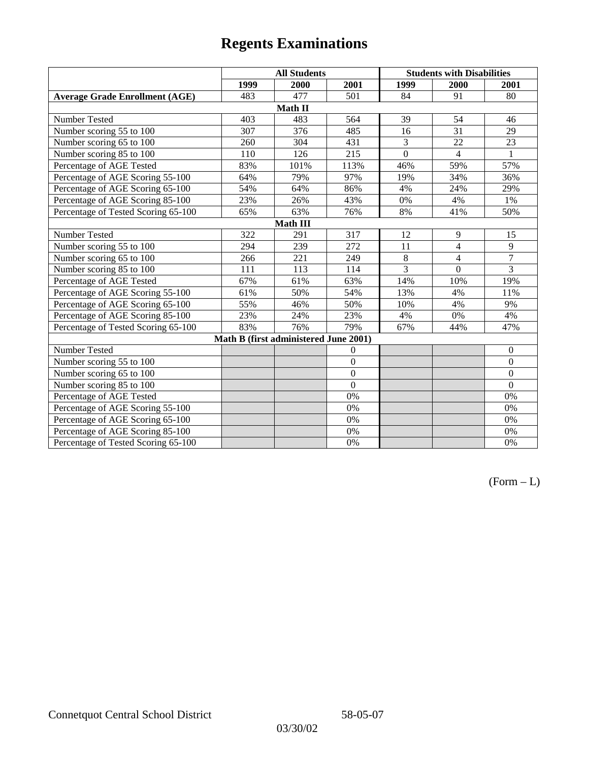|                                       | <b>All Students</b> |                                       |                | <b>Students with Disabilities</b> |                |                  |  |  |
|---------------------------------------|---------------------|---------------------------------------|----------------|-----------------------------------|----------------|------------------|--|--|
|                                       | 1999                | 2000                                  | 2001           | 1999                              | 2000           | 2001             |  |  |
| <b>Average Grade Enrollment (AGE)</b> | 483                 | 477                                   | 501            | 84                                | 91             | 80               |  |  |
|                                       |                     | Math II                               |                |                                   |                |                  |  |  |
| Number Tested                         | 403                 | 483                                   | 564            | 39                                | 54             | 46               |  |  |
| Number scoring 55 to 100              | 307                 | 376                                   | 485            | 16                                | 31             | 29               |  |  |
| Number scoring 65 to 100              | 260                 | 304                                   | 431            | $\overline{3}$                    | 22             | 23               |  |  |
| Number scoring 85 to 100              | 110                 | 126                                   | 215            | $\mathbf{0}$                      | $\overline{4}$ | 1                |  |  |
| Percentage of AGE Tested              | 83%                 | 101%                                  | 113%           | 46%                               | 59%            | 57%              |  |  |
| Percentage of AGE Scoring 55-100      | 64%                 | 79%                                   | 97%            | 19%                               | 34%            | 36%              |  |  |
| Percentage of AGE Scoring 65-100      | 54%                 | 64%                                   | 86%            | 4%                                | 24%            | 29%              |  |  |
| Percentage of AGE Scoring 85-100      | 23%                 | 26%                                   | 43%            | $0\%$                             | 4%             | 1%               |  |  |
| Percentage of Tested Scoring 65-100   | 65%                 | 63%                                   | 76%            | 8%                                | 41%            | 50%              |  |  |
| Math III                              |                     |                                       |                |                                   |                |                  |  |  |
| Number Tested                         | 322                 | 291                                   | 317            | 12                                | 9              | 15               |  |  |
| Number scoring 55 to 100              | 294                 | 239                                   | 272            | 11                                | $\overline{4}$ | 9                |  |  |
| Number scoring 65 to 100              | 266                 | 221                                   | 249            | 8                                 | 4              | $\overline{7}$   |  |  |
| Number scoring 85 to 100              | 111                 | 113                                   | 114            | 3                                 | $\mathbf{0}$   | 3                |  |  |
| Percentage of AGE Tested              | 67%                 | 61%                                   | 63%            | 14%                               | 10%            | 19%              |  |  |
| Percentage of AGE Scoring 55-100      | 61%                 | 50%                                   | 54%            | 13%                               | 4%             | 11%              |  |  |
| Percentage of AGE Scoring 65-100      | 55%                 | 46%                                   | 50%            | 10%                               | 4%             | 9%               |  |  |
| Percentage of AGE Scoring 85-100      | 23%                 | 24%                                   | 23%            | 4%                                | 0%             | 4%               |  |  |
| Percentage of Tested Scoring 65-100   | 83%                 | 76%                                   | 79%            | 67%                               | 44%            | 47%              |  |  |
|                                       |                     | Math B (first administered June 2001) |                |                                   |                |                  |  |  |
| Number Tested                         |                     |                                       | $\mathbf{0}$   |                                   |                | $\boldsymbol{0}$ |  |  |
| Number scoring 55 to 100              |                     |                                       | $\overline{0}$ |                                   |                | $\mathbf{0}$     |  |  |
| Number scoring 65 to 100              |                     |                                       | $\mathbf{0}$   |                                   |                | $\boldsymbol{0}$ |  |  |
| Number scoring 85 to 100              |                     |                                       | $\overline{0}$ |                                   |                | $\mathbf{0}$     |  |  |
| Percentage of AGE Tested              |                     |                                       | 0%             |                                   |                | 0%               |  |  |
| Percentage of AGE Scoring 55-100      |                     |                                       | 0%             |                                   |                | 0%               |  |  |
| Percentage of AGE Scoring 65-100      |                     |                                       | 0%             |                                   |                | 0%               |  |  |
| Percentage of AGE Scoring 85-100      |                     |                                       | 0%             |                                   |                | 0%               |  |  |
| Percentage of Tested Scoring 65-100   |                     |                                       | 0%             |                                   |                | 0%               |  |  |

 $(Form - L)$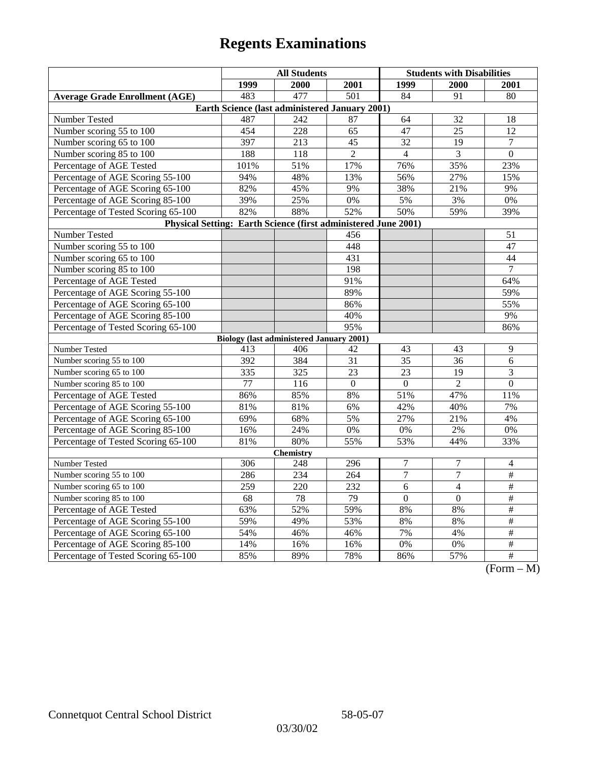|                                                                | <b>All Students</b>                             |                  |                  | <b>Students with Disabilities</b> |                |                                                                        |  |  |
|----------------------------------------------------------------|-------------------------------------------------|------------------|------------------|-----------------------------------|----------------|------------------------------------------------------------------------|--|--|
|                                                                | 1999                                            | 2000             | 2001             | 1999                              | 2000           | 2001                                                                   |  |  |
| <b>Average Grade Enrollment (AGE)</b>                          | 483                                             | 477              | $\overline{501}$ | 84                                | 91             | 80                                                                     |  |  |
| Earth Science (last administered January 2001)                 |                                                 |                  |                  |                                   |                |                                                                        |  |  |
| Number Tested                                                  | 487                                             | 242              | 87               | 64                                | 32             | 18                                                                     |  |  |
| Number scoring 55 to 100                                       | 454                                             | 228              | 65               | 47                                | 25             | 12                                                                     |  |  |
| Number scoring 65 to 100                                       | 397                                             | 213              | 45               | 32                                | 19             | $\tau$                                                                 |  |  |
| Number scoring 85 to 100                                       | 188                                             | 118              | $\overline{2}$   | $\overline{4}$                    | 3              | $\mathbf{0}$                                                           |  |  |
| Percentage of AGE Tested                                       | 101%                                            | 51%              | 17%              | 76%                               | 35%            | 23%                                                                    |  |  |
| Percentage of AGE Scoring 55-100                               | 94%                                             | 48%              | 13%              | 56%                               | 27%            | 15%                                                                    |  |  |
| Percentage of AGE Scoring 65-100                               | 82%                                             | 45%              | 9%               | 38%                               | 21%            | 9%                                                                     |  |  |
| Percentage of AGE Scoring 85-100                               | 39%                                             | 25%              | $0\%$            | 5%                                | 3%             | 0%                                                                     |  |  |
| Percentage of Tested Scoring 65-100                            | 82%                                             | 88%              | 52%              | 50%                               | 59%            | 39%                                                                    |  |  |
| Physical Setting: Earth Science (first administered June 2001) |                                                 |                  |                  |                                   |                |                                                                        |  |  |
| Number Tested                                                  |                                                 |                  | 456              |                                   |                | 51                                                                     |  |  |
| Number scoring 55 to 100                                       |                                                 |                  | 448              |                                   |                | 47                                                                     |  |  |
| Number scoring 65 to 100                                       |                                                 |                  | 431              |                                   |                | 44                                                                     |  |  |
| Number scoring 85 to 100                                       |                                                 |                  | 198              |                                   |                | 7                                                                      |  |  |
| Percentage of AGE Tested                                       |                                                 |                  | 91%              |                                   |                | 64%                                                                    |  |  |
| Percentage of AGE Scoring 55-100                               |                                                 |                  | 89%              |                                   |                | 59%                                                                    |  |  |
| Percentage of AGE Scoring 65-100                               |                                                 |                  | 86%              |                                   |                | 55%                                                                    |  |  |
| Percentage of AGE Scoring 85-100                               |                                                 |                  | 40%              |                                   |                | 9%                                                                     |  |  |
| Percentage of Tested Scoring 65-100                            |                                                 |                  | 95%              |                                   |                | 86%                                                                    |  |  |
|                                                                | <b>Biology (last administered January 2001)</b> |                  |                  |                                   |                |                                                                        |  |  |
| Number Tested                                                  | 413                                             | 406              | 42               | 43                                | 43             | 9                                                                      |  |  |
| Number scoring 55 to 100                                       | 392                                             | 384              | 31               | 35                                | 36             | 6                                                                      |  |  |
| Number scoring 65 to 100                                       | 335                                             | $\overline{325}$ | 23               | 23                                | 19             | $\overline{\mathbf{3}}$                                                |  |  |
| Number scoring 85 to 100                                       | 77                                              | 116              | $\boldsymbol{0}$ | $\Omega$                          | $\overline{2}$ | $\boldsymbol{0}$                                                       |  |  |
| Percentage of AGE Tested                                       | 86%                                             | 85%              | 8%               | 51%                               | 47%            | 11%                                                                    |  |  |
| Percentage of AGE Scoring 55-100                               | 81%                                             | 81%              | 6%               | 42%                               | 40%            | 7%                                                                     |  |  |
| Percentage of AGE Scoring 65-100                               | 69%                                             | 68%              | 5%               | 27%                               | 21%            | 4%                                                                     |  |  |
| Percentage of AGE Scoring 85-100                               | 16%                                             | 24%              | 0%               | 0%                                | $2\%$          | 0%                                                                     |  |  |
| Percentage of Tested Scoring 65-100                            | 81%                                             | 80%              | 55%              | 53%                               | 44%            | 33%                                                                    |  |  |
| <b>Chemistry</b>                                               |                                                 |                  |                  |                                   |                |                                                                        |  |  |
| Number Tested                                                  | 306                                             | 248              | 296              | $\tau$                            | $\tau$         | 4                                                                      |  |  |
| Number scoring 55 to 100                                       | 286                                             | 234              | 264              | $\overline{7}$                    | $\overline{7}$ | $\overline{\#}$                                                        |  |  |
| Number scoring 65 to 100                                       | 259                                             | 220              | 232              | $\overline{6}$                    | $\overline{4}$ | $\frac{1}{2}$                                                          |  |  |
| Number scoring 85 to 100                                       | 68                                              | 78               | 79               | $\overline{0}$                    | $\mathbf{0}$   | $\#$                                                                   |  |  |
| Percentage of AGE Tested                                       | 63%                                             | 52%              | 59%              | 8%                                | 8%             | $\#$                                                                   |  |  |
| Percentage of AGE Scoring 55-100                               | 59%                                             | 49%              | 53%              | 8%                                | 8%             | #                                                                      |  |  |
| Percentage of AGE Scoring 65-100                               | 54%                                             | 46%              | 46%              | 7%                                | 4%             | $\overline{\#}$                                                        |  |  |
| Percentage of AGE Scoring 85-100                               | 14%                                             | 16%              | 16%              | 0%                                | $0\%$          | $\overline{\#}$                                                        |  |  |
| Percentage of Tested Scoring 65-100                            | 85%                                             | 89%              | 78%              | 86%                               | 57%            | $\overline{+}$<br>$\sqrt{\Gamma_{\alpha\mu\mu\alpha}}$<br>$\mathbf{M}$ |  |  |

(Form – M)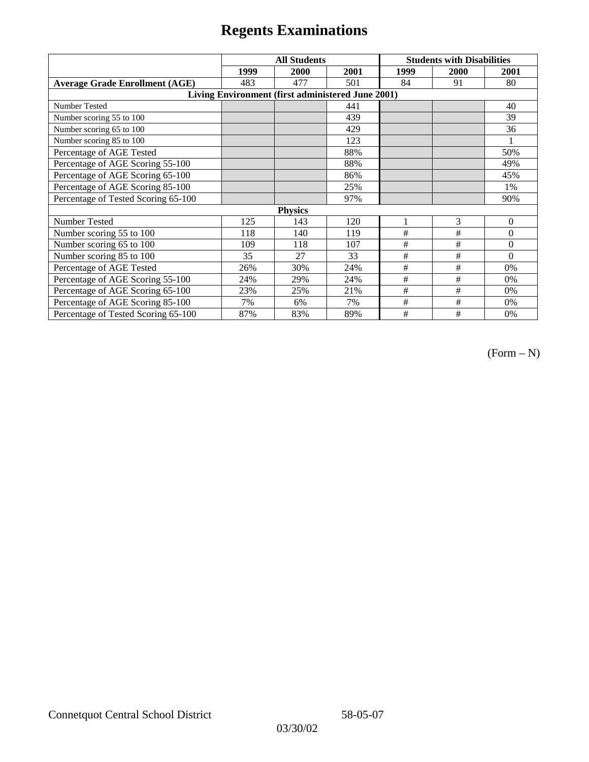|                                                   | <b>All Students</b> |      |      | <b>Students with Disabilities</b> |      |          |  |  |
|---------------------------------------------------|---------------------|------|------|-----------------------------------|------|----------|--|--|
|                                                   | 1999                | 2000 | 2001 | 1999                              | 2000 | 2001     |  |  |
| <b>Average Grade Enrollment (AGE)</b>             | 483                 | 477  | 501  | 84                                | 91   | 80       |  |  |
| Living Environment (first administered June 2001) |                     |      |      |                                   |      |          |  |  |
| Number Tested                                     |                     |      | 441  |                                   |      | 40       |  |  |
| Number scoring 55 to 100                          |                     |      | 439  |                                   |      | 39       |  |  |
| Number scoring 65 to 100                          |                     |      | 429  |                                   |      | 36       |  |  |
| Number scoring 85 to 100                          |                     |      | 123  |                                   |      |          |  |  |
| Percentage of AGE Tested                          |                     |      | 88%  |                                   |      | 50%      |  |  |
| Percentage of AGE Scoring 55-100                  |                     |      | 88%  |                                   |      | 49%      |  |  |
| Percentage of AGE Scoring 65-100                  |                     |      | 86%  |                                   |      | 45%      |  |  |
| Percentage of AGE Scoring 85-100                  |                     |      | 25%  |                                   |      | 1%       |  |  |
| Percentage of Tested Scoring 65-100               |                     |      | 97%  |                                   |      | 90%      |  |  |
| <b>Physics</b>                                    |                     |      |      |                                   |      |          |  |  |
| Number Tested                                     | 125                 | 143  | 120  |                                   | 3    | $\theta$ |  |  |
| Number scoring 55 to 100                          | 118                 | 140  | 119  | #                                 | #    | $\theta$ |  |  |
| Number scoring 65 to 100                          | 109                 | 118  | 107  | #                                 | #    | $\theta$ |  |  |
| Number scoring 85 to 100                          | 35                  | 27   | 33   | #                                 | #    | $\Omega$ |  |  |
| Percentage of AGE Tested                          | 26%                 | 30%  | 24%  | #                                 | #    | 0%       |  |  |
| Percentage of AGE Scoring 55-100                  | 24%                 | 29%  | 24%  | $\#$                              | $\#$ | 0%       |  |  |
| Percentage of AGE Scoring 65-100                  | 23%                 | 25%  | 21%  | #                                 | #    | 0%       |  |  |
| Percentage of AGE Scoring 85-100                  | 7%                  | 6%   | 7%   | #                                 | #    | 0%       |  |  |
| Percentage of Tested Scoring 65-100               | 87%                 | 83%  | 89%  | #                                 | #    | 0%       |  |  |

(Form – N)